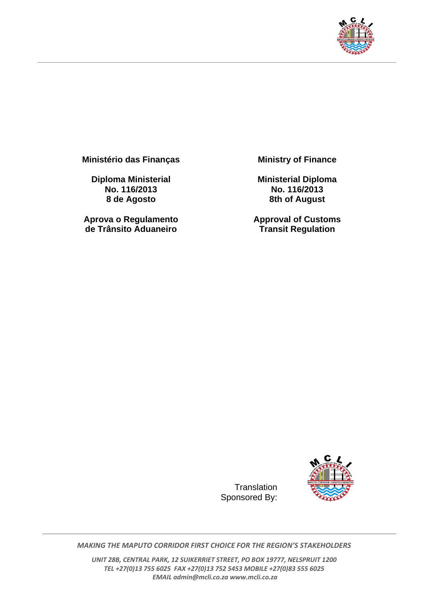

**Ministério das Finanças** 

**Diploma Ministerial No. 116/2013 8 de Agosto** 

**Aprova o Regulamento de Trânsito Aduaneiro**

**Ministry of Finance** 

**Ministerial Diploma No. 116/2013 8th of August** 

**Approval of Customs Transit Regulation**



*MAKING THE MAPUTO CORRIDOR FIRST CHOICE FOR THE REGION'S STAKEHOLDERS*

**Translation** Sponsored By:

*UNIT 28B, CENTRAL PARK, 12 SUIKERRIET STREET, PO BOX 19777, NELSPRUIT 1200 TEL +27(0)13 755 6025 FAX +27(0)13 752 5453 MOBILE +27(0)83 555 6025 EMAIL admin@mcli.co.za www.mcli.co.za*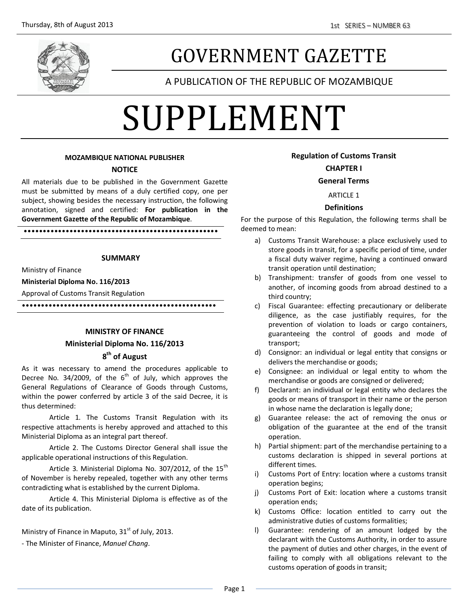

# GOVERNMENT GAZETTE

# A PUBLICATION OF THE REPUBLIC OF MOZAMBIQUE

# SUPPLEMENT

#### **MOZAMBIQUE NATIONAL PUBLISHER**

#### **NOTICE**

All materials due to be published in the Government Gazette must be submitted by means of a duly certified copy, one per subject, showing besides the necessary instruction, the following annotation, signed and certified: **For publication in the Government Gazette of the Republic of Mozambique**.

**SUMMARY**

•••••••••••••••••••••••••••••••••••••••••••••••••••

Ministry of Finance

#### **Ministerial Diploma No. 116/2013**

Approval of Customs Transit Regulation

•••••••••••••••••••••••••••••••••••••••••••••••••••

#### **MINISTRY OF FINANCE**

### **Ministerial Diploma No. 116/2013 8 th of August**

#### As it was necessary to amend the procedures applicable to Decree No. 34/2009, of the  $6<sup>th</sup>$  of July, which approves the General Regulations of Clearance of Goods through Customs, within the power conferred by article 3 of the said Decree, it is thus determined:

Article 1. The Customs Transit Regulation with its respective attachments is hereby approved and attached to this Ministerial Diploma as an integral part thereof.

Article 2. The Customs Director General shall issue the applicable operational instructions of this Regulation.

Article 3. Ministerial Diploma No. 307/2012, of the  $15<sup>th</sup>$ of November is hereby repealed, together with any other terms contradicting what is established by the current Diploma.

Article 4. This Ministerial Diploma is effective as of the date of its publication.

Ministry of Finance in Maputo,  $31<sup>st</sup>$  of July, 2013.

- The Minister of Finance, *Manuel Chang*.

#### **Regulation of Customs Transit**

#### **CHAPTER I**

#### **General Terms**

#### ARTICLE 1

#### **Definitions**

For the purpose of this Regulation, the following terms shall be deemed to mean:

- a) Customs Transit Warehouse: a place exclusively used to store goods in transit, for a specific period of time, under a fiscal duty waiver regime, having a continued onward transit operation until destination;
- b) Transhipment: transfer of goods from one vessel to another, of incoming goods from abroad destined to a third country;
- c) Fiscal Guarantee: effecting precautionary or deliberate diligence, as the case justifiably requires, for the prevention of violation to loads or cargo containers, guaranteeing the control of goods and mode of transport;
- d) Consignor: an individual or legal entity that consigns or delivers the merchandise or goods;
- e) Consignee: an individual or legal entity to whom the merchandise or goods are consigned or delivered;
- f) Declarant: an individual or legal entity who declares the goods or means of transport in their name or the person in whose name the declaration is legally done;
- g) Guarantee release: the act of removing the onus or obligation of the guarantee at the end of the transit operation.
- h) Partial shipment: part of the merchandise pertaining to a customs declaration is shipped in several portions at different times.
- i) Customs Port of Entry: location where a customs transit operation begins;
- j) Customs Port of Exit: location where a customs transit operation ends;
- k) Customs Office: location entitled to carry out the administrative duties of customs formalities;
- l) Guarantee: rendering of an amount lodged by the declarant with the Customs Authority, in order to assure the payment of duties and other charges, in the event of failing to comply with all obligations relevant to the customs operation of goods in transit;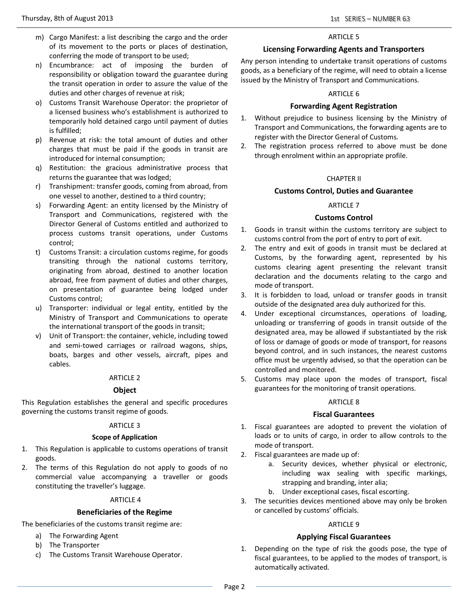- m) Cargo Manifest: a list describing the cargo and the order of its movement to the ports or places of destination, conferring the mode of transport to be used;
- n) Encumbrance: act of imposing the burden of responsibility or obligation toward the guarantee during the transit operation in order to assure the value of the duties and other charges of revenue at risk;
- o) Customs Transit Warehouse Operator: the proprietor of a licensed business who's establishment is authorized to temporarily hold detained cargo until payment of duties is fulfilled;
- p) Revenue at risk: the total amount of duties and other charges that must be paid if the goods in transit are introduced for internal consumption;
- q) Restitution: the gracious administrative process that returns the guarantee that was lodged;
- r) Transhipment: transfer goods, coming from abroad, from one vessel to another, destined to a third country;
- s) Forwarding Agent: an entity licensed by the Ministry of Transport and Communications, registered with the Director General of Customs entitled and authorized to process customs transit operations, under Customs control;
- t) Customs Transit: a circulation customs regime, for goods transiting through the national customs territory, originating from abroad, destined to another location abroad, free from payment of duties and other charges, on presentation of guarantee being lodged under Customs control;
- u) Transporter: individual or legal entity, entitled by the Ministry of Transport and Communications to operate the international transport of the goods in transit;
- v) Unit of Transport: the container, vehicle, including towed and semi-towed carriages or railroad wagons, ships, boats, barges and other vessels, aircraft, pipes and cables.

#### **Object**

This Regulation establishes the general and specific procedures governing the customs transit regime of goods.

#### ARTICLE 3

#### **Scope of Application**

- 1. This Regulation is applicable to customs operations of transit goods.
- 2. The terms of this Regulation do not apply to goods of no commercial value accompanying a traveller or goods constituting the traveller's luggage.

#### ARTICLE 4

#### **Beneficiaries of the Regime**

The beneficiaries of the customs transit regime are:

- a) The Forwarding Agent
- b) The Transporter
- c) The Customs Transit Warehouse Operator.

#### ARTICLE 5

#### **Licensing Forwarding Agents and Transporters**

Any person intending to undertake transit operations of customs goods, as a beneficiary of the regime, will need to obtain a license issued by the Ministry of Transport and Communications.

#### ARTICLE 6

#### **Forwarding Agent Registration**

- 1. Without prejudice to business licensing by the Ministry of Transport and Communications, the forwarding agents are to register with the Director General of Customs.
- 2. The registration process referred to above must be done through enrolment within an appropriate profile.

#### CHAPTER II

#### **Customs Control, Duties and Guarantee**

#### ARTICLE 7

#### **Customs Control**

- 1. Goods in transit within the customs territory are subject to customs control from the port of entry to port of exit.
- 2. The entry and exit of goods in transit must be declared at Customs, by the forwarding agent, represented by his customs clearing agent presenting the relevant transit declaration and the documents relating to the cargo and mode of transport.
- 3. It is forbidden to load, unload or transfer goods in transit outside of the designated area duly authorized for this.
- 4. Under exceptional circumstances, operations of loading, unloading or transferring of goods in transit outside of the designated area, may be allowed if substantiated by the risk of loss or damage of goods or mode of transport, for reasons beyond control, and in such instances, the nearest customs office must be urgently advised, so that the operation can be controlled and monitored.
- 5. Customs may place upon the modes of transport, fiscal guarantees for the monitoring of transit operations.

#### ARTICLE 8

#### **Fiscal Guarantees**

- 1. Fiscal guarantees are adopted to prevent the violation of loads or to units of cargo, in order to allow controls to the mode of transport.
- 2. Fiscal guarantees are made up of:
	- a. Security devices, whether physical or electronic, including wax sealing with specific markings, strapping and branding, inter alia;
	- b. Under exceptional cases, fiscal escorting.
- 3. The securities devices mentioned above may only be broken or cancelled by customs' officials.

#### ARTICLE 9

#### **Applying Fiscal Guarantees**

1. Depending on the type of risk the goods pose, the type of fiscal guarantees, to be applied to the modes of transport, is automatically activated.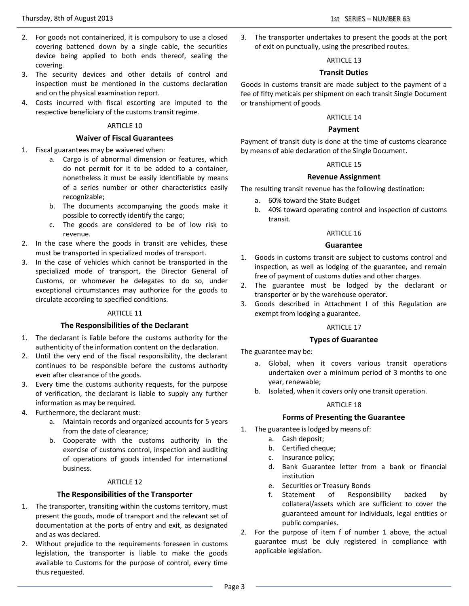- 2. For goods not containerized, it is compulsory to use a closed covering battened down by a single cable, the securities device being applied to both ends thereof, sealing the covering.
- 3. The security devices and other details of control and inspection must be mentioned in the customs declaration and on the physical examination report.
- 4. Costs incurred with fiscal escorting are imputed to the respective beneficiary of the customs transit regime.

#### **Waiver of Fiscal Guarantees**

- 1. Fiscal guarantees may be waivered when:
	- a. Cargo is of abnormal dimension or features, which do not permit for it to be added to a container, nonetheless it must be easily identifiable by means of a series number or other characteristics easily recognizable;
	- b. The documents accompanying the goods make it possible to correctly identify the cargo;
	- c. The goods are considered to be of low risk to revenue.
- 2. In the case where the goods in transit are vehicles, these must be transported in specialized modes of transport.
- 3. In the case of vehicles which cannot be transported in the specialized mode of transport, the Director General of Customs, or whomever he delegates to do so, under exceptional circumstances may authorize for the goods to circulate according to specified conditions.

#### ARTICLE 11

#### **The Responsibilities of the Declarant**

- 1. The declarant is liable before the customs authority for the authenticity of the information content on the declaration.
- 2. Until the very end of the fiscal responsibility, the declarant continues to be responsible before the customs authority even after clearance of the goods.
- 3. Every time the customs authority requests, for the purpose of verification, the declarant is liable to supply any further information as may be required.
- 4. Furthermore, the declarant must:
	- a. Maintain records and organized accounts for 5 years from the date of clearance;
	- b. Cooperate with the customs authority in the exercise of customs control, inspection and auditing of operations of goods intended for international business.

#### ARTICLE 12

#### **The Responsibilities of the Transporter**

- 1. The transporter, transiting within the customs territory, must present the goods, mode of transport and the relevant set of documentation at the ports of entry and exit, as designated and as was declared.
- 2. Without prejudice to the requirements foreseen in customs legislation, the transporter is liable to make the goods available to Customs for the purpose of control, every time thus requested.

3. The transporter undertakes to present the goods at the port of exit on punctually, using the prescribed routes.

#### ARTICLE 13

#### **Transit Duties**

Goods in customs transit are made subject to the payment of a fee of fifty meticais per shipment on each transit Single Document or transhipment of goods.

#### ARTICLE 14

#### **Payment**

Payment of transit duty is done at the time of customs clearance by means of able declaration of the Single Document.

#### ARTICLE 15

#### **Revenue Assignment**

The resulting transit revenue has the following destination:

- a. 60% toward the State Budget
- b. 40% toward operating control and inspection of customs transit.

#### ARTICLE 16

#### **Guarantee**

- 1. Goods in customs transit are subject to customs control and inspection, as well as lodging of the guarantee, and remain free of payment of customs duties and other charges.
- 2. The guarantee must be lodged by the declarant or transporter or by the warehouse operator.
- 3. Goods described in Attachment I of this Regulation are exempt from lodging a guarantee.

#### ARTICLE 17

#### **Types of Guarantee**

The guarantee may be:

- a. Global, when it covers various transit operations undertaken over a minimum period of 3 months to one year, renewable;
- b. Isolated, when it covers only one transit operation.

#### ARTICLE 18

#### **Forms of Presenting the Guarantee**

- 1. The guarantee is lodged by means of:
	- a. Cash deposit;
	- b. Certified cheque;
	- c. Insurance policy;
	- d. Bank Guarantee letter from a bank or financial institution
	- e. Securities or Treasury Bonds
	- f. Statement of Responsibility backed by collateral/assets which are sufficient to cover the guaranteed amount for individuals, legal entities or public companies.
- 2. For the purpose of item f of number 1 above, the actual guarantee must be duly registered in compliance with applicable legislation.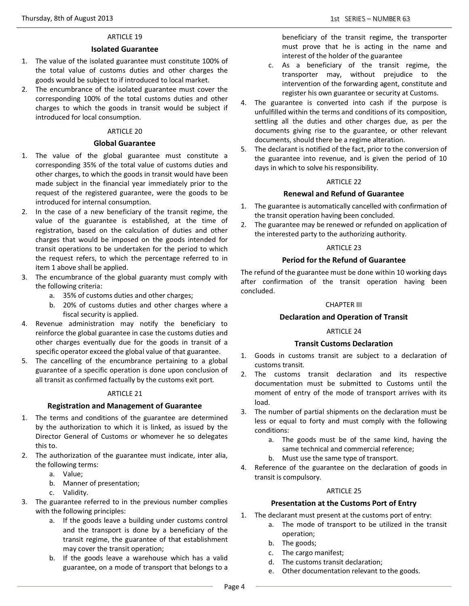#### **Isolated Guarantee**

- 1. The value of the isolated guarantee must constitute 100% of the total value of customs duties and other charges the goods would be subject to if introduced to local market.
- 2. The encumbrance of the isolated guarantee must cover the corresponding 100% of the total customs duties and other charges to which the goods in transit would be subject if introduced for local consumption.

#### ARTICLE 20

#### **Global Guarantee**

- 1. The value of the global guarantee must constitute a corresponding 35% of the total value of customs duties and other charges, to which the goods in transit would have been made subject in the financial year immediately prior to the request of the registered guarantee, were the goods to be introduced for internal consumption.
- 2. In the case of a new beneficiary of the transit regime, the value of the guarantee is established, at the time of registration, based on the calculation of duties and other charges that would be imposed on the goods intended for transit operations to be undertaken for the period to which the request refers, to which the percentage referred to in item 1 above shall be applied.
- 3. The encumbrance of the global guaranty must comply with the following criteria:
	- a. 35% of customs duties and other charges;
	- b. 20% of customs duties and other charges where a fiscal security is applied.
- 4. Revenue administration may notify the beneficiary to reinforce the global guarantee in case the customs duties and other charges eventually due for the goods in transit of a specific operator exceed the global value of that guarantee.
- 5. The cancelling of the encumbrance pertaining to a global guarantee of a specific operation is done upon conclusion of all transit as confirmed factually by the customs exit port.

#### ARTICLE 21

#### **Registration and Management of Guarantee**

- 1. The terms and conditions of the guarantee are determined by the authorization to which it is linked, as issued by the Director General of Customs or whomever he so delegates this to.
- 2. The authorization of the guarantee must indicate, inter alia, the following terms:
	- a. Value;
	- b. Manner of presentation;
	- c. Validity.
- 3. The guarantee referred to in the previous number complies with the following principles:
	- a. If the goods leave a building under customs control and the transport is done by a beneficiary of the transit regime, the guarantee of that establishment may cover the transit operation;
	- b. If the goods leave a warehouse which has a valid guarantee, on a mode of transport that belongs to a

beneficiary of the transit regime, the transporter must prove that he is acting in the name and interest of the holder of the guarantee

- c. As a beneficiary of the transit regime, the transporter may, without prejudice to the intervention of the forwarding agent, constitute and register his own guarantee or security at Customs.
- 4. The guarantee is converted into cash if the purpose is unfulfilled within the terms and conditions of its composition, settling all the duties and other charges due, as per the documents giving rise to the guarantee, or other relevant documents, should there be a regime alteration.
- 5. The declarant is notified of the fact, prior to the conversion of the guarantee into revenue, and is given the period of 10 days in which to solve his responsibility.

#### ARTICLE 22

#### **Renewal and Refund of Guarantee**

- 1. The guarantee is automatically cancelled with confirmation of the transit operation having been concluded.
- 2. The guarantee may be renewed or refunded on application of the interested party to the authorizing authority.

#### ARTICLE 23

#### **Period for the Refund of Guarantee**

The refund of the guarantee must be done within 10 working days after confirmation of the transit operation having been concluded.

#### CHAPTER III

#### **Declaration and Operation of Transit**

#### ARTICLE 24

#### **Transit Customs Declaration**

- 1. Goods in customs transit are subject to a declaration of customs transit.
- 2. The customs transit declaration and its respective documentation must be submitted to Customs until the moment of entry of the mode of transport arrives with its load.
- 3. The number of partial shipments on the declaration must be less or equal to forty and must comply with the following conditions:
	- a. The goods must be of the same kind, having the same technical and commercial reference;
	- b. Must use the same type of transport.
- 4. Reference of the guarantee on the declaration of goods in transit is compulsory.

#### ARTICLE 25

#### **Presentation at the Customs Port of Entry**

- 1. The declarant must present at the customs port of entry:
	- a. The mode of transport to be utilized in the transit operation;
		- b. The goods;
		- c. The cargo manifest;
	- d. The customs transit declaration;
	- e. Other documentation relevant to the goods.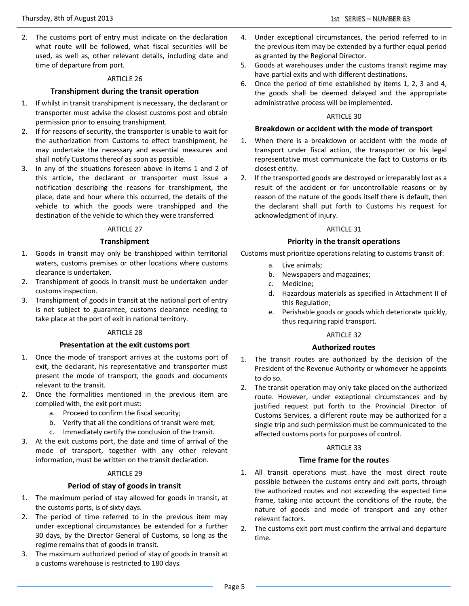2. The customs port of entry must indicate on the declaration what route will be followed, what fiscal securities will be used, as well as, other relevant details, including date and time of departure from port.

#### ARTICLE 26

#### **Transhipment during the transit operation**

- 1. If whilst in transit transhipment is necessary, the declarant or transporter must advise the closest customs post and obtain permission prior to ensuing transhipment.
- 2. If for reasons of security, the transporter is unable to wait for the authorization from Customs to effect transhipment, he may undertake the necessary and essential measures and shall notify Customs thereof as soon as possible.
- 3. In any of the situations foreseen above in items 1 and 2 of this article, the declarant or transporter must issue a notification describing the reasons for transhipment, the place, date and hour where this occurred, the details of the vehicle to which the goods were transhipped and the destination of the vehicle to which they were transferred.

#### ARTICLE 27

#### **Transhipment**

- 1. Goods in transit may only be transhipped within territorial waters, customs premises or other locations where customs clearance is undertaken.
- 2. Transhipment of goods in transit must be undertaken under customs inspection.
- 3. Transhipment of goods in transit at the national port of entry is not subject to guarantee, customs clearance needing to take place at the port of exit in national territory.

#### ARTICLE 28

#### **Presentation at the exit customs port**

- 1. Once the mode of transport arrives at the customs port of exit, the declarant, his representative and transporter must present the mode of transport, the goods and documents relevant to the transit.
- 2. Once the formalities mentioned in the previous item are complied with, the exit port must:
	- a. Proceed to confirm the fiscal security;
	- b. Verify that all the conditions of transit were met;
	- c. Immediately certify the conclusion of the transit.
- 3. At the exit customs port, the date and time of arrival of the mode of transport, together with any other relevant information, must be written on the transit declaration.

#### ARTICLE 29

#### **Period of stay of goods in transit**

- 1. The maximum period of stay allowed for goods in transit, at the customs ports, is of sixty days.
- 2. The period of time referred to in the previous item may under exceptional circumstances be extended for a further 30 days, by the Director General of Customs, so long as the regime remains that of goods in transit.
- 3. The maximum authorized period of stay of goods in transit at a customs warehouse is restricted to 180 days.
- 4. Under exceptional circumstances, the period referred to in the previous item may be extended by a further equal period as granted by the Regional Director.
- 5. Goods at warehouses under the customs transit regime may have partial exits and with different destinations.
- 6. Once the period of time established by items 1, 2, 3 and 4, the goods shall be deemed delayed and the appropriate administrative process will be implemented.

#### ARTICLE 30

#### **Breakdown or accident with the mode of transport**

- 1. When there is a breakdown or accident with the mode of transport under fiscal action, the transporter or his legal representative must communicate the fact to Customs or its closest entity.
- 2. If the transported goods are destroyed or irreparably lost as a result of the accident or for uncontrollable reasons or by reason of the nature of the goods itself there is default, then the declarant shall put forth to Customs his request for acknowledgment of injury.

#### ARTICLE 31

#### **Priority in the transit operations**

Customs must prioritize operations relating to customs transit of:

- a. Live animals;
- b. Newspapers and magazines;
- c. Medicine;
- d. Hazardous materials as specified in Attachment II of this Regulation;
- e. Perishable goods or goods which deteriorate quickly, thus requiring rapid transport.

#### ARTICLE 32

#### **Authorized routes**

- 1. The transit routes are authorized by the decision of the President of the Revenue Authority or whomever he appoints to do so.
- 2. The transit operation may only take placed on the authorized route. However, under exceptional circumstances and by justified request put forth to the Provincial Director of Customs Services, a different route may be authorized for a single trip and such permission must be communicated to the affected customs ports for purposes of control.

#### ARTICLE 33

#### **Time frame for the routes**

- 1. All transit operations must have the most direct route possible between the customs entry and exit ports, through the authorized routes and not exceeding the expected time frame, taking into account the conditions of the route, the nature of goods and mode of transport and any other relevant factors.
- 2. The customs exit port must confirm the arrival and departure time.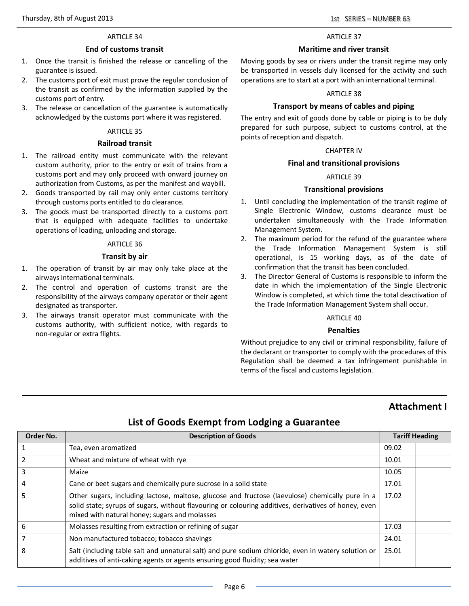#### **End of customs transit**

- 1. Once the transit is finished the release or cancelling of the guarantee is issued.
- 2. The customs port of exit must prove the regular conclusion of the transit as confirmed by the information supplied by the customs port of entry.
- 3. The release or cancellation of the guarantee is automatically acknowledged by the customs port where it was registered.

#### ARTICLE 35

#### **Railroad transit**

- 1. The railroad entity must communicate with the relevant custom authority, prior to the entry or exit of trains from a customs port and may only proceed with onward journey on authorization from Customs, as per the manifest and waybill.
- 2. Goods transported by rail may only enter customs territory through customs ports entitled to do clearance.
- 3. The goods must be transported directly to a customs port that is equipped with adequate facilities to undertake operations of loading, unloading and storage.

#### ARTICLE 36

#### **Transit by air**

- 1. The operation of transit by air may only take place at the airways international terminals.
- 2. The control and operation of customs transit are the responsibility of the airways company operator or their agent designated as transporter.
- 3. The airways transit operator must communicate with the customs authority, with sufficient notice, with regards to non-regular or extra flights.

#### ARTICLE 37

#### **Maritime and river transit**

Moving goods by sea or rivers under the transit regime may only be transported in vessels duly licensed for the activity and such operations are to start at a port with an international terminal.

#### ARTICLE 38

#### **Transport by means of cables and piping**

The entry and exit of goods done by cable or piping is to be duly prepared for such purpose, subject to customs control, at the points of reception and dispatch.

#### CHAPTER IV

#### **Final and transitional provisions**

#### ARTICLE 39

#### **Transitional provisions**

- 1. Until concluding the implementation of the transit regime of Single Electronic Window, customs clearance must be undertaken simultaneously with the Trade Information Management System.
- 2. The maximum period for the refund of the guarantee where the Trade Information Management System is still operational, is 15 working days, as of the date of confirmation that the transit has been concluded.
- 3. The Director General of Customs is responsible to inform the date in which the implementation of the Single Electronic Window is completed, at which time the total deactivation of the Trade Information Management System shall occur.

#### ARTICLE 40

#### **Penalties**

Without prejudice to any civil or criminal responsibility, failure of the declarant or transporter to comply with the procedures of this Regulation shall be deemed a tax infringement punishable in terms of the fiscal and customs legislation.

## **Attachment I**

# **List of Goods Exempt from Lodging a Guarantee**

| Order No. | <b>Description of Goods</b>                                                                                                                                                                                                                              | <b>Tariff Heading</b> |  |
|-----------|----------------------------------------------------------------------------------------------------------------------------------------------------------------------------------------------------------------------------------------------------------|-----------------------|--|
|           | Tea, even aromatized                                                                                                                                                                                                                                     | 09.02                 |  |
|           | Wheat and mixture of wheat with rye                                                                                                                                                                                                                      | 10.01                 |  |
| 3         | Maize                                                                                                                                                                                                                                                    | 10.05                 |  |
| 4         | Cane or beet sugars and chemically pure sucrose in a solid state                                                                                                                                                                                         | 17.01                 |  |
|           | Other sugars, including lactose, maltose, glucose and fructose (laevulose) chemically pure in a<br>solid state; syrups of sugars, without flavouring or colouring additives, derivatives of honey, even<br>mixed with natural honey; sugars and molasses | 17.02                 |  |
| 6         | Molasses resulting from extraction or refining of sugar                                                                                                                                                                                                  | 17.03                 |  |
|           | Non manufactured tobacco; tobacco shavings                                                                                                                                                                                                               | 24.01                 |  |
| 8         | Salt (including table salt and unnatural salt) and pure sodium chloride, even in watery solution or<br>additives of anti-caking agents or agents ensuring good fluidity; sea water                                                                       | 25.01                 |  |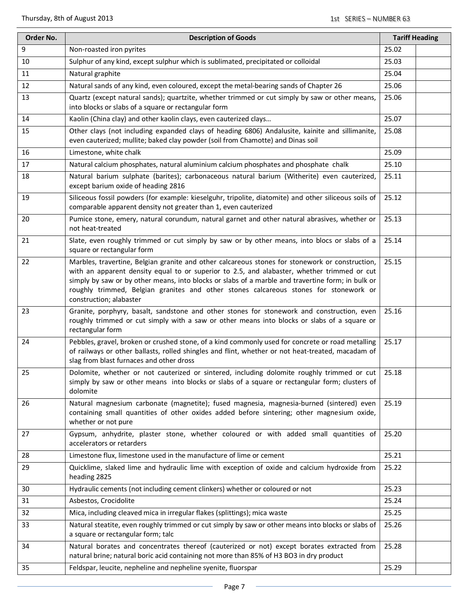| Order No. | <b>Description of Goods</b>                                                                                                                                                                                                                                                                                                                                                                                             | <b>Tariff Heading</b> |
|-----------|-------------------------------------------------------------------------------------------------------------------------------------------------------------------------------------------------------------------------------------------------------------------------------------------------------------------------------------------------------------------------------------------------------------------------|-----------------------|
| 9         | Non-roasted iron pyrites                                                                                                                                                                                                                                                                                                                                                                                                | 25.02                 |
| 10        | Sulphur of any kind, except sulphur which is sublimated, precipitated or colloidal                                                                                                                                                                                                                                                                                                                                      | 25.03                 |
| 11        | Natural graphite                                                                                                                                                                                                                                                                                                                                                                                                        | 25.04                 |
| 12        | Natural sands of any kind, even coloured, except the metal-bearing sands of Chapter 26                                                                                                                                                                                                                                                                                                                                  | 25.06                 |
| 13        | Quartz (except natural sands); quartzite, whether trimmed or cut simply by saw or other means,<br>into blocks or slabs of a square or rectangular form                                                                                                                                                                                                                                                                  | 25.06                 |
| 14        | Kaolin (China clay) and other kaolin clays, even cauterized clays                                                                                                                                                                                                                                                                                                                                                       | 25.07                 |
| 15        | Other clays (not including expanded clays of heading 6806) Andalusite, kainite and sillimanite,<br>even cauterized; mullite; baked clay powder (soil from Chamotte) and Dinas soil                                                                                                                                                                                                                                      | 25.08                 |
| 16        | Limestone, white chalk                                                                                                                                                                                                                                                                                                                                                                                                  | 25.09                 |
| 17        | Natural calcium phosphates, natural aluminium calcium phosphates and phosphate chalk                                                                                                                                                                                                                                                                                                                                    | 25.10                 |
| 18        | Natural barium sulphate (barites); carbonaceous natural barium (Witherite) even cauterized,<br>except barium oxide of heading 2816                                                                                                                                                                                                                                                                                      | 25.11                 |
| 19        | Siliceous fossil powders (for example: kieselguhr, tripolite, diatomite) and other siliceous soils of<br>comparable apparent density not greater than 1, even cauterized                                                                                                                                                                                                                                                | 25.12                 |
| 20        | Pumice stone, emery, natural corundum, natural garnet and other natural abrasives, whether or<br>not heat-treated                                                                                                                                                                                                                                                                                                       | 25.13                 |
| 21        | Slate, even roughly trimmed or cut simply by saw or by other means, into blocs or slabs of a<br>square or rectangular form                                                                                                                                                                                                                                                                                              | 25.14                 |
| 22        | Marbles, travertine, Belgian granite and other calcareous stones for stonework or construction,<br>with an apparent density equal to or superior to 2.5, and alabaster, whether trimmed or cut<br>simply by saw or by other means, into blocks or slabs of a marble and travertine form; in bulk or<br>roughly trimmed, Belgian granites and other stones calcareous stones for stonework or<br>construction; alabaster | 25.15                 |
| 23        | Granite, porphyry, basalt, sandstone and other stones for stonework and construction, even<br>roughly trimmed or cut simply with a saw or other means into blocks or slabs of a square or<br>rectangular form                                                                                                                                                                                                           | 25.16                 |
| 24        | Pebbles, gravel, broken or crushed stone, of a kind commonly used for concrete or road metalling<br>of railways or other ballasts, rolled shingles and flint, whether or not heat-treated, macadam of<br>slag from blast furnaces and other dross                                                                                                                                                                       | 25.17                 |
| 25        | Dolomite, whether or not cauterized or sintered, including dolomite roughly trimmed or cut<br>simply by saw or other means into blocks or slabs of a square or rectangular form; clusters of<br>dolomite                                                                                                                                                                                                                | 25.18                 |
| 26        | Natural magnesium carbonate (magnetite); fused magnesia, magnesia-burned (sintered) even<br>containing small quantities of other oxides added before sintering; other magnesium oxide,<br>whether or not pure                                                                                                                                                                                                           | 25.19                 |
| 27        | Gypsum, anhydrite, plaster stone, whether coloured or with added small quantities of<br>accelerators or retarders                                                                                                                                                                                                                                                                                                       | 25.20                 |
| 28        | Limestone flux, limestone used in the manufacture of lime or cement                                                                                                                                                                                                                                                                                                                                                     | 25.21                 |
| 29        | Quicklime, slaked lime and hydraulic lime with exception of oxide and calcium hydroxide from<br>heading 2825                                                                                                                                                                                                                                                                                                            | 25.22                 |
| 30        | Hydraulic cements (not including cement clinkers) whether or coloured or not                                                                                                                                                                                                                                                                                                                                            | 25.23                 |
| 31        | Asbestos, Crocidolite                                                                                                                                                                                                                                                                                                                                                                                                   | 25.24                 |
| 32        | Mica, including cleaved mica in irregular flakes (splittings); mica waste                                                                                                                                                                                                                                                                                                                                               | 25.25                 |
| 33        | Natural steatite, even roughly trimmed or cut simply by saw or other means into blocks or slabs of<br>a square or rectangular form; talc                                                                                                                                                                                                                                                                                | 25.26                 |
| 34        | Natural borates and concentrates thereof (cauterized or not) except borates extracted from<br>natural brine; natural boric acid containing not more than 85% of H3 BO3 in dry product                                                                                                                                                                                                                                   | 25.28                 |
| 35        | Feldspar, leucite, nepheline and nepheline syenite, fluorspar                                                                                                                                                                                                                                                                                                                                                           | 25.29                 |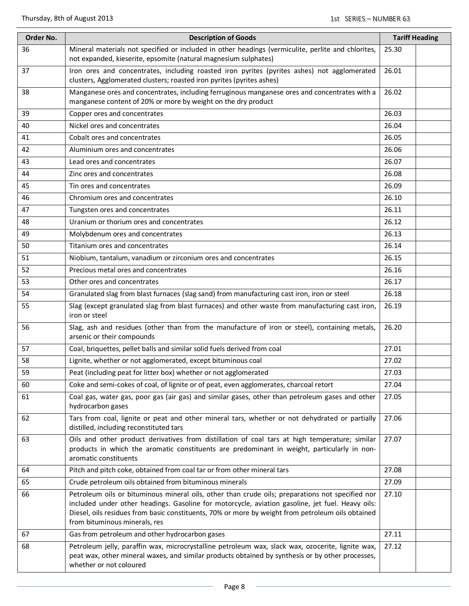| Order No. | <b>Description of Goods</b>                                                                                                                                                                                                                                                                                                                | <b>Tariff Heading</b> |  |
|-----------|--------------------------------------------------------------------------------------------------------------------------------------------------------------------------------------------------------------------------------------------------------------------------------------------------------------------------------------------|-----------------------|--|
| 36        | Mineral materials not specified or included in other headings (vermiculite, perlite and chlorites,<br>not expanded, kieserite, epsomite (natural magnesium sulphates)                                                                                                                                                                      | 25.30                 |  |
| 37        | Iron ores and concentrates, including roasted iron pyrites (pyrites ashes) not agglomerated<br>clusters, Agglomerated clusters; roasted iron pyrites (pyrites ashes)                                                                                                                                                                       | 26.01                 |  |
| 38        | Manganese ores and concentrates, including ferruginous manganese ores and concentrates with a<br>manganese content of 20% or more by weight on the dry product                                                                                                                                                                             | 26.02                 |  |
| 39        | Copper ores and concentrates                                                                                                                                                                                                                                                                                                               | 26.03                 |  |
| 40        | Nickel ores and concentrates                                                                                                                                                                                                                                                                                                               | 26.04                 |  |
| 41        | Cobalt ores and concentrates                                                                                                                                                                                                                                                                                                               | 26.05                 |  |
| 42        | Aluminium ores and concentrates                                                                                                                                                                                                                                                                                                            | 26.06                 |  |
| 43        | Lead ores and concentrates                                                                                                                                                                                                                                                                                                                 | 26.07                 |  |
| 44        | Zinc ores and concentrates                                                                                                                                                                                                                                                                                                                 | 26.08                 |  |
| 45        | Tin ores and concentrates                                                                                                                                                                                                                                                                                                                  | 26.09                 |  |
| 46        | Chromium ores and concentrates                                                                                                                                                                                                                                                                                                             | 26.10                 |  |
| 47        | Tungsten ores and concentrates                                                                                                                                                                                                                                                                                                             | 26.11                 |  |
| 48        | Uranium or thorium ores and concentrates                                                                                                                                                                                                                                                                                                   | 26.12                 |  |
| 49        | Molybdenum ores and concentrates                                                                                                                                                                                                                                                                                                           | 26.13                 |  |
| 50        | Titanium ores and concentrates                                                                                                                                                                                                                                                                                                             | 26.14                 |  |
| 51        | Niobium, tantalum, vanadium or zirconium ores and concentrates                                                                                                                                                                                                                                                                             | 26.15                 |  |
| 52        | Precious metal ores and concentrates                                                                                                                                                                                                                                                                                                       | 26.16                 |  |
| 53        | Other ores and concentrates                                                                                                                                                                                                                                                                                                                | 26.17                 |  |
| 54        | Granulated slag from blast furnaces (slag sand) from manufacturing cast iron, iron or steel                                                                                                                                                                                                                                                | 26.18                 |  |
| 55        | Slag (except granulated slag from blast furnaces) and other waste from manufacturing cast iron,<br>iron or steel                                                                                                                                                                                                                           | 26.19                 |  |
| 56        | Slag, ash and residues (other than from the manufacture of iron or steel), containing metals,<br>arsenic or their compounds                                                                                                                                                                                                                | 26.20                 |  |
| 57        | Coal, briquettes, pellet balls and similar solid fuels derived from coal                                                                                                                                                                                                                                                                   | 27.01                 |  |
| 58        | Lignite, whether or not agglomerated, except bituminous coal                                                                                                                                                                                                                                                                               | 27.02                 |  |
| 59        | Peat (including peat for litter box) whether or not agglomerated                                                                                                                                                                                                                                                                           | 27.03                 |  |
| 60        | Coke and semi-cokes of coal, of lignite or of peat, even agglomerates, charcoal retort                                                                                                                                                                                                                                                     | 27.04                 |  |
| 61        | Coal gas, water gas, poor gas (air gas) and similar gases, other than petroleum gases and other<br>hydrocarbon gases                                                                                                                                                                                                                       | 27.05                 |  |
| 62        | Tars from coal, lignite or peat and other mineral tars, whether or not dehydrated or partially<br>distilled, including reconstituted tars                                                                                                                                                                                                  | 27.06                 |  |
| 63        | Oils and other product derivatives from distillation of coal tars at high temperature; similar<br>products in which the aromatic constituents are predominant in weight, particularly in non-<br>aromatic constituents                                                                                                                     | 27.07                 |  |
| 64        | Pitch and pitch coke, obtained from coal tar or from other mineral tars                                                                                                                                                                                                                                                                    | 27.08                 |  |
| 65        | Crude petroleum oils obtained from bituminous minerals                                                                                                                                                                                                                                                                                     | 27.09                 |  |
| 66        | Petroleum oils or bituminous mineral oils, other than crude oils; preparations not specified nor<br>included under other headings. Gasoline for motorcycle, aviation gasoline, jet fuel. Heavy oils:<br>Diesel, oils residues from basic constituents, 70% or more by weight from petroleum oils obtained<br>from bituminous minerals, res | 27.10                 |  |
| 67        | Gas from petroleum and other hydrocarbon gases                                                                                                                                                                                                                                                                                             | 27.11                 |  |
| 68        | Petroleum jelly, paraffin wax, microcrystalline petroleum wax, slack wax, ozocerite, lignite wax,<br>peat wax, other mineral waxes, and similar products obtained by synthesis or by other processes,<br>whether or not coloured                                                                                                           | 27.12                 |  |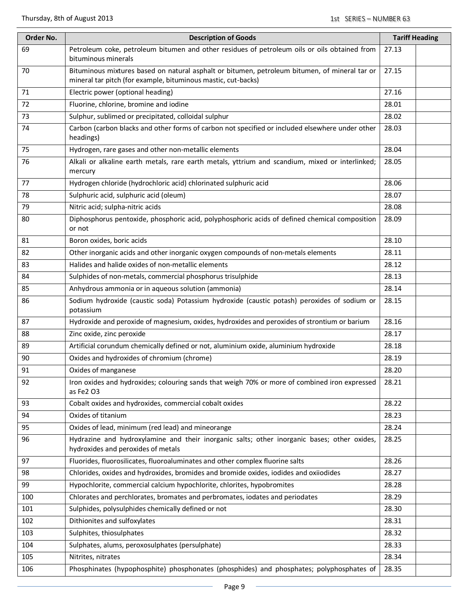| Order No. | <b>Description of Goods</b>                                                                                                                                    | <b>Tariff Heading</b> |  |
|-----------|----------------------------------------------------------------------------------------------------------------------------------------------------------------|-----------------------|--|
| 69        | Petroleum coke, petroleum bitumen and other residues of petroleum oils or oils obtained from<br>bituminous minerals                                            | 27.13                 |  |
| 70        | Bituminous mixtures based on natural asphalt or bitumen, petroleum bitumen, of mineral tar or<br>mineral tar pitch (for example, bituminous mastic, cut-backs) | 27.15                 |  |
| 71        | Electric power (optional heading)                                                                                                                              | 27.16                 |  |
| 72        | Fluorine, chlorine, bromine and iodine                                                                                                                         | 28.01                 |  |
| 73        | Sulphur, sublimed or precipitated, colloidal sulphur                                                                                                           | 28.02                 |  |
| 74        | Carbon (carbon blacks and other forms of carbon not specified or included elsewhere under other<br>headings)                                                   | 28.03                 |  |
| 75        | Hydrogen, rare gases and other non-metallic elements                                                                                                           | 28.04                 |  |
| 76        | Alkali or alkaline earth metals, rare earth metals, yttrium and scandium, mixed or interlinked;<br>mercury                                                     | 28.05                 |  |
| 77        | Hydrogen chloride (hydrochloric acid) chlorinated sulphuric acid                                                                                               | 28.06                 |  |
| 78        | Sulphuric acid, sulphuric acid (oleum)                                                                                                                         | 28.07                 |  |
| 79        | Nitric acid; sulpha-nitric acids                                                                                                                               | 28.08                 |  |
| 80        | Diphosphorus pentoxide, phosphoric acid, polyphosphoric acids of defined chemical composition<br>or not                                                        | 28.09                 |  |
| 81        | Boron oxides, boric acids                                                                                                                                      | 28.10                 |  |
| 82        | Other inorganic acids and other inorganic oxygen compounds of non-metals elements                                                                              | 28.11                 |  |
| 83        | Halides and halide oxides of non-metallic elements                                                                                                             | 28.12                 |  |
| 84        | Sulphides of non-metals, commercial phosphorus trisulphide                                                                                                     | 28.13                 |  |
| 85        | Anhydrous ammonia or in aqueous solution (ammonia)                                                                                                             | 28.14                 |  |
| 86        | Sodium hydroxide (caustic soda) Potassium hydroxide (caustic potash) peroxides of sodium or<br>potassium                                                       | 28.15                 |  |
| 87        | Hydroxide and peroxide of magnesium, oxides, hydroxides and peroxides of strontium or barium                                                                   | 28.16                 |  |
| 88        | Zinc oxide, zinc peroxide                                                                                                                                      | 28.17                 |  |
| 89        | Artificial corundum chemically defined or not, aluminium oxide, aluminium hydroxide                                                                            | 28.18                 |  |
| 90        | Oxides and hydroxides of chromium (chrome)                                                                                                                     | 28.19                 |  |
| 91        | Oxides of manganese                                                                                                                                            | 28.20                 |  |
| 92        | Iron oxides and hydroxides; colouring sands that weigh 70% or more of combined iron expressed<br>as Fe2 03                                                     | 28.21                 |  |
| 93        | Cobalt oxides and hydroxides, commercial cobalt oxides                                                                                                         | 28.22                 |  |
| 94        | Oxides of titanium                                                                                                                                             | 28.23                 |  |
| 95        | Oxides of lead, minimum (red lead) and mineorange                                                                                                              | 28.24                 |  |
| 96        | Hydrazine and hydroxylamine and their inorganic salts; other inorganic bases; other oxides,<br>hydroxides and peroxides of metals                              | 28.25                 |  |
| 97        | Fluorides, fluorosilicates, fluoroaluminates and other complex fluorine salts                                                                                  | 28.26                 |  |
| 98        | Chlorides, oxides and hydroxides, bromides and bromide oxides, iodides and oxiiodides                                                                          | 28.27                 |  |
| 99        | Hypochlorite, commercial calcium hypochlorite, chlorites, hypobromites                                                                                         | 28.28                 |  |
| 100       | Chlorates and perchlorates, bromates and perbromates, iodates and periodates                                                                                   | 28.29                 |  |
| 101       | Sulphides, polysulphides chemically defined or not                                                                                                             | 28.30                 |  |
| 102       | Dithionites and sulfoxylates                                                                                                                                   | 28.31                 |  |
| 103       | Sulphites, thiosulphates                                                                                                                                       | 28.32                 |  |
| 104       | Sulphates, alums, peroxosulphates (persulphate)                                                                                                                | 28.33                 |  |
| 105       | Nitrites, nitrates                                                                                                                                             | 28.34                 |  |
| 106       | Phosphinates (hypophosphite) phosphonates (phosphides) and phosphates; polyphosphates of                                                                       | 28.35                 |  |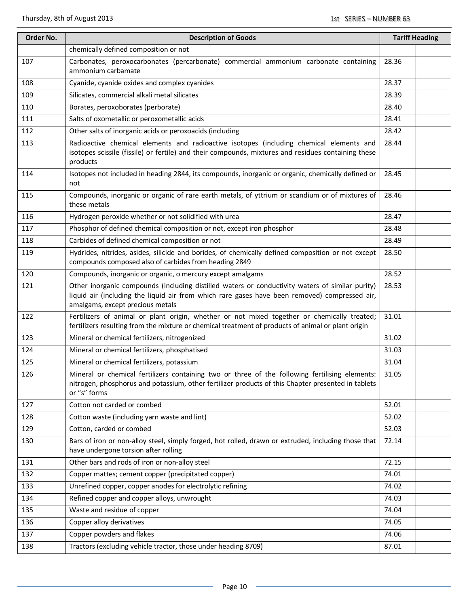| Order No. | <b>Description of Goods</b>                                                                                                                                                                                                          | <b>Tariff Heading</b> |  |
|-----------|--------------------------------------------------------------------------------------------------------------------------------------------------------------------------------------------------------------------------------------|-----------------------|--|
|           | chemically defined composition or not                                                                                                                                                                                                |                       |  |
| 107       | Carbonates, peroxocarbonates (percarbonate) commercial ammonium carbonate containing<br>ammonium carbamate                                                                                                                           | 28.36                 |  |
| 108       | Cyanide, cyanide oxides and complex cyanides                                                                                                                                                                                         | 28.37                 |  |
| 109       | Silicates, commercial alkali metal silicates                                                                                                                                                                                         | 28.39                 |  |
| 110       | Borates, peroxoborates (perborate)                                                                                                                                                                                                   | 28.40                 |  |
| 111       | Salts of oxometallic or peroxometallic acids                                                                                                                                                                                         | 28.41                 |  |
| 112       | Other salts of inorganic acids or peroxoacids (including                                                                                                                                                                             | 28.42                 |  |
| 113       | Radioactive chemical elements and radioactive isotopes (including chemical elements and<br>isotopes scissile (fissile) or fertile) and their compounds, mixtures and residues containing these<br>products                           | 28.44                 |  |
| 114       | Isotopes not included in heading 2844, its compounds, inorganic or organic, chemically defined or<br>not                                                                                                                             | 28.45                 |  |
| 115       | Compounds, inorganic or organic of rare earth metals, of yttrium or scandium or of mixtures of<br>these metals                                                                                                                       | 28.46                 |  |
| 116       | Hydrogen peroxide whether or not solidified with urea                                                                                                                                                                                | 28.47                 |  |
| 117       | Phosphor of defined chemical composition or not, except iron phosphor                                                                                                                                                                | 28.48                 |  |
| 118       | Carbides of defined chemical composition or not                                                                                                                                                                                      | 28.49                 |  |
| 119       | Hydrides, nitrides, asides, silicide and borides, of chemically defined composition or not except<br>compounds composed also of carbides from heading 2849                                                                           | 28.50                 |  |
| 120       | Compounds, inorganic or organic, o mercury except amalgams                                                                                                                                                                           | 28.52                 |  |
| 121       | Other inorganic compounds (including distilled waters or conductivity waters of similar purity)<br>liquid air (including the liquid air from which rare gases have been removed) compressed air,<br>amalgams, except precious metals | 28.53                 |  |
| 122       | Fertilizers of animal or plant origin, whether or not mixed together or chemically treated;<br>fertilizers resulting from the mixture or chemical treatment of products of animal or plant origin                                    | 31.01                 |  |
| 123       | Mineral or chemical fertilizers, nitrogenized                                                                                                                                                                                        | 31.02                 |  |
| 124       | Mineral or chemical fertilizers, phosphatised                                                                                                                                                                                        | 31.03                 |  |
| 125       | Mineral or chemical fertilizers, potassium                                                                                                                                                                                           | 31.04                 |  |
| 126       | Mineral or chemical fertilizers containing two or three of the following fertilising elements:<br>nitrogen, phosphorus and potassium, other fertilizer products of this Chapter presented in tablets<br>or "s" forms                 | 31.05                 |  |
| 127       | Cotton not carded or combed                                                                                                                                                                                                          | 52.01                 |  |
| 128       | Cotton waste (including yarn waste and lint)                                                                                                                                                                                         | 52.02                 |  |
| 129       | Cotton, carded or combed                                                                                                                                                                                                             | 52.03                 |  |
| 130       | Bars of iron or non-alloy steel, simply forged, hot rolled, drawn or extruded, including those that<br>have undergone torsion after rolling                                                                                          | 72.14                 |  |
| 131       | Other bars and rods of iron or non-alloy steel                                                                                                                                                                                       | 72.15                 |  |
| 132       | Copper mattes; cement copper (precipitated copper)                                                                                                                                                                                   | 74.01                 |  |
| 133       | Unrefined copper, copper anodes for electrolytic refining                                                                                                                                                                            | 74.02                 |  |
| 134       | Refined copper and copper alloys, unwrought                                                                                                                                                                                          | 74.03                 |  |
| 135       | Waste and residue of copper                                                                                                                                                                                                          | 74.04                 |  |
| 136       | Copper alloy derivatives                                                                                                                                                                                                             | 74.05                 |  |
| 137       | Copper powders and flakes                                                                                                                                                                                                            | 74.06                 |  |
| 138       | Tractors (excluding vehicle tractor, those under heading 8709)                                                                                                                                                                       | 87.01                 |  |